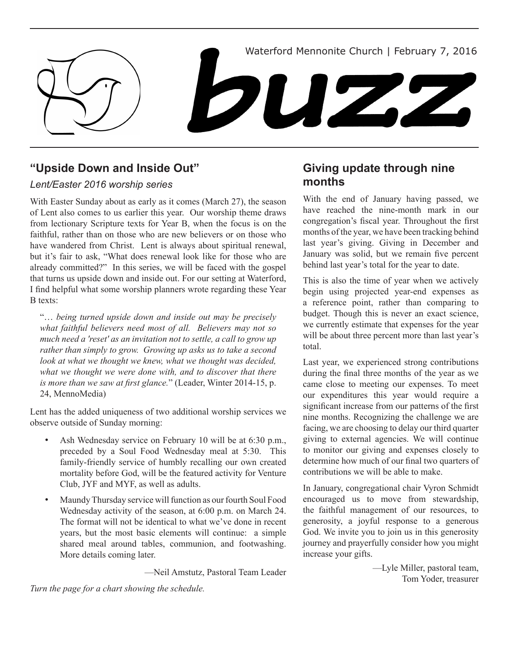

## **"Upside Down and Inside Out"**

### *Lent/Easter 2016 worship series*

With Easter Sunday about as early as it comes (March 27), the season of Lent also comes to us earlier this year. Our worship theme draws from lectionary Scripture texts for Year B, when the focus is on the faithful, rather than on those who are new believers or on those who have wandered from Christ. Lent is always about spiritual renewal, but it's fair to ask, "What does renewal look like for those who are already committed?" In this series, we will be faced with the gospel that turns us upside down and inside out. For our setting at Waterford, I find helpful what some worship planners wrote regarding these Year B texts:

"… *being turned upside down and inside out may be precisely what faithful believers need most of all. Believers may not so much need a 'reset' as an invitation not to settle, a call to grow up rather than simply to grow. Growing up asks us to take a second look at what we thought we knew, what we thought was decided, what we thought we were done with, and to discover that there is more than we saw at first glance.*" (Leader, Winter 2014-15, p. 24, MennoMedia)

Lent has the added uniqueness of two additional worship services we observe outside of Sunday morning:

- Ash Wednesday service on February 10 will be at 6:30 p.m., preceded by a Soul Food Wednesday meal at 5:30. This family-friendly service of humbly recalling our own created mortality before God, will be the featured activity for Venture Club, JYF and MYF, as well as adults.
- Maundy Thursday service will function as our fourth Soul Food Wednesday activity of the season, at 6:00 p.m. on March 24. The format will not be identical to what we've done in recent years, but the most basic elements will continue: a simple shared meal around tables, communion, and footwashing. More details coming later.

—Neil Amstutz, Pastoral Team Leader

## **Giving update through nine months**

With the end of January having passed, we have reached the nine-month mark in our congregation's fiscal year. Throughout the first months of the year, we have been tracking behind last year's giving. Giving in December and January was solid, but we remain five percent behind last year's total for the year to date.

This is also the time of year when we actively begin using projected year-end expenses as a reference point, rather than comparing to budget. Though this is never an exact science, we currently estimate that expenses for the year will be about three percent more than last year's total.

Last year, we experienced strong contributions during the final three months of the year as we came close to meeting our expenses. To meet our expenditures this year would require a significant increase from our patterns of the first nine months. Recognizing the challenge we are facing, we are choosing to delay our third quarter giving to external agencies. We will continue to monitor our giving and expenses closely to determine how much of our final two quarters of contributions we will be able to make.

In January, congregational chair Vyron Schmidt encouraged us to move from stewardship, the faithful management of our resources, to generosity, a joyful response to a generous God. We invite you to join us in this generosity journey and prayerfully consider how you might increase your gifts.

> —Lyle Miller, pastoral team, Tom Yoder, treasurer

*Turn the page for a chart showing the schedule.*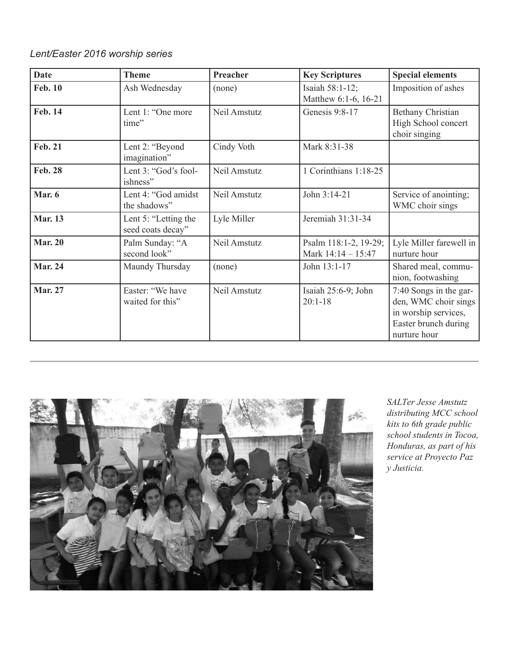### *Lent/Easter 2016 worship series*

| <b>Date</b>    | <b>Theme</b>                              | Preacher     | <b>Key Scriptures</b>                         | <b>Special elements</b>                                                                                        |
|----------------|-------------------------------------------|--------------|-----------------------------------------------|----------------------------------------------------------------------------------------------------------------|
| <b>Feb. 10</b> | Ash Wednesday                             | (none)       | Isaiah 58:1-12;<br>Matthew 6:1-6, 16-21       | Imposition of ashes                                                                                            |
| <b>Feb. 14</b> | Lent 1: "One more<br>time"                | Neil Amstutz | Genesis 9:8-17                                | <b>Bethany Christian</b><br>High School concert<br>choir singing                                               |
| <b>Feb. 21</b> | Lent 2: "Beyond<br>imagination"           | Cindy Voth   | Mark 8:31-38                                  |                                                                                                                |
| <b>Feb. 28</b> | Lent 3: "God's fool-<br>ishness"          | Neil Amstutz | 1 Corinthians 1:18-25                         |                                                                                                                |
| Mar. 6         | Lent 4: "God amidst<br>the shadows"       | Neil Amstutz | John 3:14-21                                  | Service of anointing;<br>WMC choir sings                                                                       |
| <b>Mar. 13</b> | Lent 5: "Letting the<br>seed coats decay" | Lyle Miller  | Jeremiah 31:31-34                             |                                                                                                                |
| <b>Mar. 20</b> | Palm Sunday: "A<br>second look"           | Neil Amstutz | Psalm 118:1-2, 19-29;<br>Mark $14:14 - 15:47$ | Lyle Miller farewell in<br>nurture hour                                                                        |
| <b>Mar. 24</b> | Maundy Thursday                           | (none)       | John 13:1-17                                  | Shared meal, commu-<br>nion, footwashing                                                                       |
| <b>Mar. 27</b> | Easter: "We have<br>waited for this"      | Neil Amstutz | Isaiah 25:6-9; John<br>$20:1 - 18$            | 7:40 Songs in the gar-<br>den, WMC choir sings<br>in worship services,<br>Easter brunch during<br>nurture hour |



*SALTer Jesse Amstutz distributing MCC school kits to 6th grade public school students in Tocoa, Honduras, as part of his service at Proyecto Paz y Justicia.*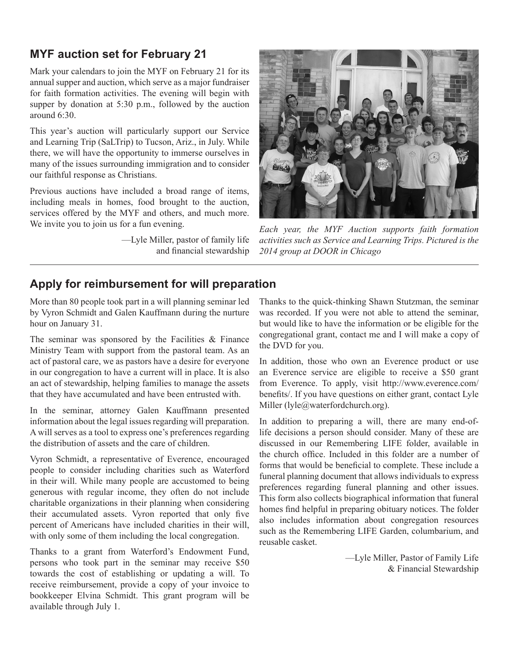# **MYF auction set for February 21**

Mark your calendars to join the MYF on February 21 for its annual supper and auction, which serve as a major fundraiser for faith formation activities. The evening will begin with supper by donation at 5:30 p.m., followed by the auction around 6:30.

This year's auction will particularly support our Service and Learning Trip (SaLTrip) to Tucson, Ariz., in July. While there, we will have the opportunity to immerse ourselves in many of the issues surrounding immigration and to consider our faithful response as Christians.

Previous auctions have included a broad range of items, including meals in homes, food brought to the auction, services offered by the MYF and others, and much more. We invite you to join us for a fun evening.

> —Lyle Miller, pastor of family life and financial stewardship



*Each year, the MYF Auction supports faith formation activities such as Service and Learning Trips. Pictured is the 2014 group at DOOR in Chicago*

# **Apply for reimbursement for will preparation**

More than 80 people took part in a will planning seminar led by Vyron Schmidt and Galen Kauffmann during the nurture hour on January 31.

The seminar was sponsored by the Facilities  $\&$  Finance Ministry Team with support from the pastoral team. As an act of pastoral care, we as pastors have a desire for everyone in our congregation to have a current will in place. It is also an act of stewardship, helping families to manage the assets that they have accumulated and have been entrusted with.

In the seminar, attorney Galen Kauffmann presented information about the legal issues regarding will preparation. A will serves as a tool to express one's preferences regarding the distribution of assets and the care of children.

Vyron Schmidt, a representative of Everence, encouraged people to consider including charities such as Waterford in their will. While many people are accustomed to being generous with regular income, they often do not include charitable organizations in their planning when considering their accumulated assets. Vyron reported that only five percent of Americans have included charities in their will, with only some of them including the local congregation.

Thanks to a grant from Waterford's Endowment Fund, persons who took part in the seminar may receive \$50 towards the cost of establishing or updating a will. To receive reimbursement, provide a copy of your invoice to bookkeeper Elvina Schmidt. This grant program will be available through July 1.

Thanks to the quick-thinking Shawn Stutzman, the seminar was recorded. If you were not able to attend the seminar, but would like to have the information or be eligible for the congregational grant, contact me and I will make a copy of the DVD for you.

In addition, those who own an Everence product or use an Everence service are eligible to receive a \$50 grant from Everence. To apply, visit http://www.everence.com/ benefits/. If you have questions on either grant, contact Lyle Miller (lyle@waterfordchurch.org).

In addition to preparing a will, there are many end-oflife decisions a person should consider. Many of these are discussed in our Remembering LIFE folder, available in the church office. Included in this folder are a number of forms that would be beneficial to complete. These include a funeral planning document that allows individuals to express preferences regarding funeral planning and other issues. This form also collects biographical information that funeral homes find helpful in preparing obituary notices. The folder also includes information about congregation resources such as the Remembering LIFE Garden, columbarium, and reusable casket.

> —Lyle Miller, Pastor of Family Life & Financial Stewardship